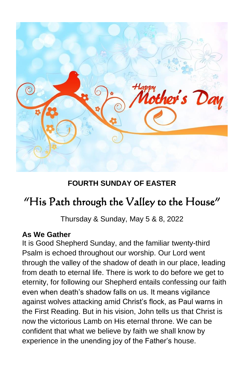

# **FOURTH SUNDAY OF EASTER**

# "His Path through the Valley to the House"

Thursday & Sunday, May 5 & 8, 2022

# **As We Gather**

It is Good Shepherd Sunday, and the familiar twenty-third Psalm is echoed throughout our worship. Our Lord went through the valley of the shadow of death in our place, leading from death to eternal life. There is work to do before we get to eternity, for following our Shepherd entails confessing our faith even when death's shadow falls on us. It means vigilance against wolves attacking amid Christ's flock, as Paul warns in the First Reading. But in his vision, John tells us that Christ is now the victorious Lamb on His eternal throne. We can be confident that what we believe by faith we shall know by experience in the unending joy of the Father's house.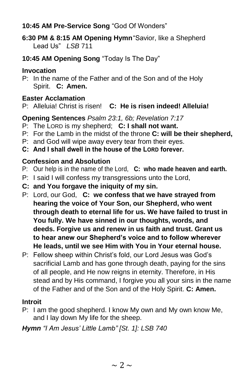# **10:45 AM Pre-Service Song** "God Of Wonders"

- **6:30 PM & 8:15 AM Opening Hymn**"Savior, like a Shepherd Lead Us" *LSB* 711
- **10:45 AM Opening Song** "Today Is The Day"

### **Invocation**

P: In the name of the Father and of the Son and of the Holy Spirit. **C: Amen.**

# **Easter Acclamation**

P: Alleluia! Christ is risen! **C: He is risen indeed! Alleluia!**

# **Opening Sentences** *Psalm 23:1, 6b; Revelation 7:17*

- P: The LORD is my shepherd; **C: I shall not want.**
- P: For the Lamb in the midst of the throne **C: will be their shepherd,**
- P: and God will wipe away every tear from their eyes.
- **C: And I shall dwell in the house of the LORD forever.**

# **Confession and Absolution**

- P: Our help is in the name of the Lord, **C: who made heaven and earth.**
- P: I said I will confess my transgressions unto the Lord,
- **C: and You forgave the iniquity of my sin.**
- P: Lord, our God, **C: we confess that we have strayed from hearing the voice of Your Son, our Shepherd, who went through death to eternal life for us. We have failed to trust in You fully. We have sinned in our thoughts, words, and deeds. Forgive us and renew in us faith and trust. Grant us to hear anew our Shepherd's voice and to follow wherever He leads, until we see Him with You in Your eternal house.**
- P: Fellow sheep within Christ's fold, our Lord Jesus was God's sacrificial Lamb and has gone through death, paying for the sins of all people, and He now reigns in eternity. Therefore, in His stead and by His command, I forgive you all your sins in the name of the Father and of the Son and of the Holy Spirit. **C: Amen.**

# **Introit**

P: I am the good shepherd. I know My own and My own know Me, and I lay down My life for the sheep.

*Hymn "I Am Jesus' Little Lamb" [St. 1]: LSB 740*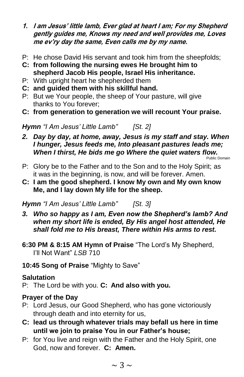- **1. I am Jesus' little lamb, Ever glad at heart I am; For my Shepherd gently guides me, Knows my need and well provides me, Loves me ev'ry day the same, Even calls me by my name.**
- P: He chose David His servant and took him from the sheepfolds;
- **C: from following the nursing ewes He brought him to shepherd Jacob His people, Israel His inheritance.**
- P: With upright heart he shepherded them
- **C: and guided them with his skillful hand.**
- P: But we Your people, the sheep of Your pasture, will give thanks to You forever;
- **C: from generation to generation we will recount Your praise.**

*Hymn "I Am Jesus' Little Lamb" [St. 2]*

*2. Day by day, at home, away, Jesus is my staff and stay. When I hunger, Jesus feeds me, Into pleasant pastures leads me; When I thirst, He bids me go Where the quiet waters flow.*

Public Domain

- P: Glory be to the Father and to the Son and to the Holy Spirit; as it was in the beginning, is now, and will be forever. Amen.
- **C: I am the good shepherd. I know My own and My own know Me, and I lay down My life for the sheep.**

*Hymn "I Am Jesus' Little Lamb" [St. 3]*

- *3. Who so happy as I am, Even now the Shepherd's lamb? And when my short life is ended, By His angel host attended, He shall fold me to His breast, There within His arms to rest.*
- **6:30 PM & 8:15 AM Hymn of Praise** "The Lord's My Shepherd, I'll Not Want" *LSB* 710
- **10:45 Song of Praise** "Mighty to Save"

# **Salutation**

P: The Lord be with you. **C: And also with you.**

# **Prayer of the Day**

- P: Lord Jesus, our Good Shepherd, who has gone victoriously through death and into eternity for us,
- **C: lead us through whatever trials may befall us here in time until we join to praise You in our Father's house;**
- P: for You live and reign with the Father and the Holy Spirit, one God, now and forever. **C: Amen.**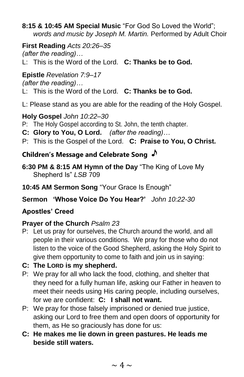**8:15 & 10:45 AM Special Music** "For God So Loved the World"; *words and music by Joseph M. Martin.* Performed by Adult Choir

**First Reading** *Acts 20:26–35 (after the reading)…*

L: This is the Word of the Lord. **C: Thanks be to God.**

# **Epistle** *Revelation 7:9–17*

*(after the reading)…*

L: This is the Word of the Lord. **C: Thanks be to God.**

L: Please stand as you are able for the reading of the Holy Gospel.

# **Holy Gospel** *John 10:22–30*

- P: The Holy Gospel according to St. John, the tenth chapter.
- **C: Glory to You, O Lord.** *(after the reading)…*
- P: This is the Gospel of the Lord. **C: Praise to You, O Christ.**

# **Children's Message and Celebrate Song**

- **6:30 PM & 8:15 AM Hymn of the Day** "The King of Love My Shepherd Is" *LSB* 709
- **10:45 AM Sermon Song** "Your Grace Is Enough"
- **Sermon 'Whose Voice Do You Hear?'** *John 10:22-30*

# **Apostles' Creed**

# **Prayer of the Church** *Psalm 23*

- P: Let us pray for ourselves, the Church around the world, and all people in their various conditions. We pray for those who do not listen to the voice of the Good Shepherd, asking the Holy Spirit to give them opportunity to come to faith and join us in saying:
- **C: The LORD is my shepherd.**
- P: We pray for all who lack the food, clothing, and shelter that they need for a fully human life, asking our Father in heaven to meet their needs using His caring people, including ourselves, for we are confident: **C: I shall not want.**
- P: We pray for those falsely imprisoned or denied true justice, asking our Lord to free them and open doors of opportunity for them, as He so graciously has done for us:
- **C: He makes me lie down in green pastures. He leads me beside still waters.**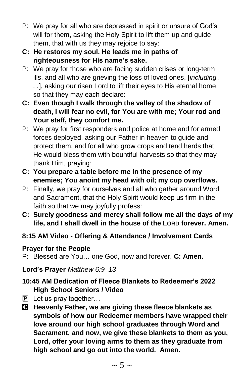- P: We pray for all who are depressed in spirit or unsure of God's will for them, asking the Holy Spirit to lift them up and guide them, that with us they may rejoice to say:
- **C: He restores my soul. He leads me in paths of righteousness for His name's sake.**
- P: We pray for those who are facing sudden crises or long-term ills, and all who are grieving the loss of loved ones, [*including . . .*], asking our risen Lord to lift their eyes to His eternal home so that they may each declare:
- **C: Even though I walk through the valley of the shadow of death, I will fear no evil, for You are with me; Your rod and Your staff, they comfort me.**
- P: We pray for first responders and police at home and for armed forces deployed, asking our Father in heaven to guide and protect them, and for all who grow crops and tend herds that He would bless them with bountiful harvests so that they may thank Him, praying:
- **C: You prepare a table before me in the presence of my enemies; You anoint my head with oil; my cup overflows.**
- P: Finally, we pray for ourselves and all who gather around Word and Sacrament, that the Holy Spirit would keep us firm in the faith so that we may joyfully profess:
- **C: Surely goodness and mercy shall follow me all the days of my life, and I shall dwell in the house of the LORD forever. Amen.**
- **8:15 AM Video - Offering & Attendance / Involvement Cards**

# **Prayer for the People**

P: Blessed are You… one God, now and forever. **C: Amen.**

**Lord's Prayer** *Matthew 6:9–13*

- **10:45 AM Dedication of Fleece Blankets to Redeemer's 2022 High School Seniors / Video**
- $\overline{P}$  Let us pray together...
- C **Heavenly Father, we are giving these fleece blankets as symbols of how our Redeemer members have wrapped their love around our high school graduates through Word and Sacrament, and now, we give these blankets to them as you, Lord, offer your loving arms to them as they graduate from high school and go out into the world. Amen.**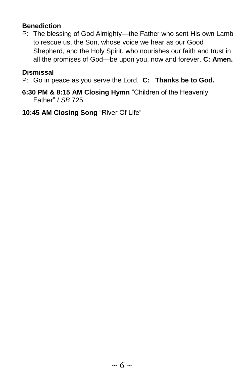# **Benediction**

P: The blessing of God Almighty—the Father who sent His own Lamb to rescue us, the Son, whose voice we hear as our Good Shepherd, and the Holy Spirit, who nourishes our faith and trust in all the promises of God—be upon you, now and forever. **C: Amen.**

#### **Dismissal**

P: Go in peace as you serve the Lord. **C: Thanks be to God.**

- **6:30 PM & 8:15 AM Closing Hymn** "Children of the Heavenly Father" *LSB* 725
- **10:45 AM Closing Song** "River Of Life"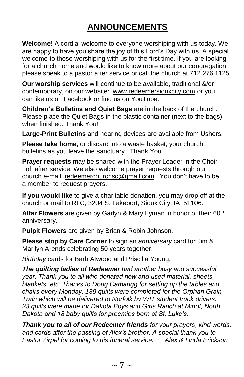# **ANNOUNCEMENTS**

**Welcome!** A cordial welcome to everyone worshiping with us today. We are happy to have you share the joy of this Lord's Day with us. A special welcome to those worshiping with us for the first time. If you are looking for a church home and would like to know more about our congregation, please speak to a pastor after service or call the church at 712.276.1125.

**Our worship services** will continue to be available, traditional &/or contemporary, on our website: [www.redeemersiouxcity.com](http://www.redeemersiouxcity.com/) or you can like us on Facebook or find us on YouTube.

**Children's Bulletins and Quiet Bags** are in the back of the church. Please place the Quiet Bags in the plastic container (next to the bags) when finished. Thank You!

**Large-Print Bulletins** and hearing devices are available from Ushers.

**Please take home,** or discard into a waste basket, your church bulletins as you leave the sanctuary. Thank You

**Prayer requests** may be shared with the Prayer Leader in the Choir Loft after service. We also welcome prayer requests through our church e-mail: [redeemerchurchsc@gmail.com.](mailto:redeemerchurchsc@gmail.com) You don't have to be a member to request prayers.

**If you would like** to give a charitable donation, you may drop off at the church or mail to RLC, 3204 S. Lakeport, Sioux City, IA 51106.

**Altar Flowers** are given by Garlyn & Mary Lyman in honor of their 60<sup>th</sup> anniversary.

**Pulpit Flowers** are given by Brian & Robin Johnson.

**Please stop by Care Corner** to sign an *anniversary* card for Jim & Marilyn Arends celebrating 50 years together.

*Birthday* cards for Barb Atwood and Priscilla Young.

*The quilting ladies of Redeemer had another busy and successful year. Thank you to all who donated new and used material, sheets, blankets. etc. Thanks to Doug Camarigg for setting up the tables and chairs every Monday. 139 quilts were completed for the Orphan Grain Train which will be delivered to Norfolk by WIT student truck drivers. 23 quilts were made for Dakota Boys and Girls Ranch at Minot, North Dakota and 18 baby quilts for preemies born at St. Luke's.*

*Thank you to all of our Redeemer friends for your prayers, kind words, and cards after the passing of Alex's brother. A special thank you to Pastor Zirpel for coming to his funeral service.~~ Alex & Linda Erickson*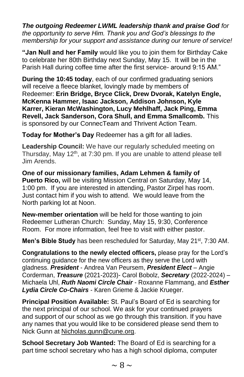*The outgoing Redeemer LWML leadership thank and praise God for the opportunity to serve Him. Thank you and God's blessings to the membership for your support and assistance during our tenure of service!*

**"Jan Null and her Family** would like you to join them for Birthday Cake to celebrate her 80th Birthday next Sunday, May 15. It will be in the Parish Hall during coffee time after the first service- around 9:15 AM."

**During the 10:45 today**, each of our confirmed graduating seniors will receive a fleece blanket, lovingly made by members of Redeemer: **Erin Bridge, Bryce Click, Drew Dvorak, Katelyn Engle, McKenna Hammer, Isaac Jackson, Addison Johnson, Kyle Karrer, Kieran McWashington, Lucy Mehlhaff, Jack Ping, Emma Revell, Jack Sanderson, Cora Shull, and Emma Smallcomb.** This is sponsored by our ConnecTeam and Thrivent Action Team.

**Today for Mother's Day** Redeemer has a gift for all ladies.

**Leadership Council:** We have our regularly scheduled meeting on Thursday, May 12<sup>th</sup>, at 7:30 pm. If you are unable to attend please tell Jim Arends.

**One of our missionary families, Adam Lehmen & family of Puerto Rico,** will be visiting Mission Central on Saturday, May 14, 1:00 pm. If you are interested in attending, Pastor Zirpel has room. Just contact him if you wish to attend. We would leave from the North parking lot at Noon.

**New-member orientation** will be held for those wanting to join Redeemer Lutheran Church: Sunday, May 15, 9:30, Conference Room. For more information, feel free to visit with either pastor.

**Men's Bible Study** has been rescheduled for Saturday, May 21<sup>st</sup>, 7:30 AM.

**Congratulations to the newly elected officers,** please pray for the Lord's continuing guidance for the new officers as they serve the Lord with gladness. *President* - Andrea Van Peursem, *President Elect* – Angie Corderman, *Treasure* (2021-2023)- Carol Bobolz, *Secretary* (2022-2024) – Michaela Uhl, *Ruth Naomi Circle Chair* - Roxanne Flammang, and *Esther Lydia Circle Co-Chairs* - Karen Grieme & Jackie Krueger.

**Principal Position Available:** St. Paul's Board of Ed is searching for the next principal of our school. We ask for your continued prayers and support of our school as we go through this transition. If you have any names that you would like to be considered please send them to Nick Gunn at [Nicholas.gunn@cune.org.](mailto:Nicholas.gunn@cune.org)

**School Secretary Job Wanted:** The Board of Ed is searching for a part time school secretary who has a high school diploma, computer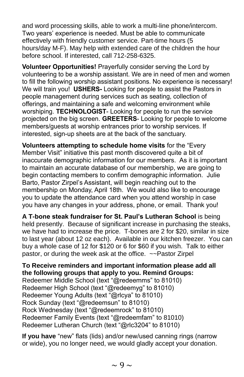and word processing skills, able to work a multi-line phone/intercom. Two years' experience is needed. Must be able to communicate effectively with friendly customer service. Part-time hours (5 hours/day M-F). May help with extended care of the children the hour before school. If interested, call 712-258-6325.

**Volunteer Opportunities!** Prayerfully consider serving the Lord by volunteering to be a worship assistant. We are in need of men and women to fill the following worship assistant positions. No experience is necessary! We will train you! **USHERS-** Looking for people to assist the Pastors in people management during services such as seating, collection of offerings, and maintaining a safe and welcoming environment while worshiping. **TECHNOLOGIST**- Looking for people to run the service projected on the big screen. **GREETERS**- Looking for people to welcome members/guests at worship entrances prior to worship services. If interested, sign-up sheets are at the back of the sanctuary.

**Volunteers attempting to schedule home visits** for the "Every Member Visit" initiative this past month discovered quite a bit of inaccurate demographic information for our members. As it is important to maintain an accurate database of our membership, we are going to begin contacting members to confirm demographic information. Julie Barto, Pastor Zirpel's Assistant, will begin reaching out to the membership on Monday, April 18th. We would also like to encourage you to update the attendance card when you attend worship in case you have any changes in your address, phone, or email. Thank you!

**A T-bone steak fundraiser for St. Paul's Lutheran School** is being held presently. Because of significant increase in purchasing the steaks, we have had to increase the price. T-bones are 2 for \$20, similar in size to last year (about 12 oz each). Available in our kitchen freezer. You can buy a whole case of 12 for \$120 or 6 for \$60 if you wish. Talk to either pastor, or during the week ask at the office. ~~Pastor Zirpel

**To Receive reminders and important information please add all the following groups that apply to you. Remind Groups:** Redeemer Middle School (text "@redeemms" to 81010) Redeemer High School (text "@redeemyg" to 81010) Redeemer Young Adults (text "@rlcya" to 81010) Rock Sunday (text "@redeemsun" to 81010) Rock Wednesday (text "@redeemrock" to 81010) Redeemer Family Events (text "@redeemfam" to 81010) Redeemer Lutheran Church (text "@rlc3204" to 81010)

**If you have** "new" flats (lids) and/or new/used canning rings (narrow or wide), you no longer need, we would gladly accept your donation.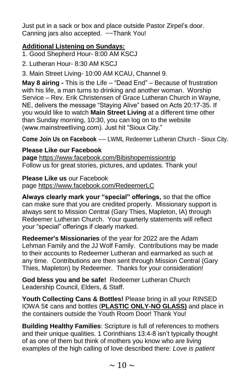Just put in a sack or box and place outside Pastor Zirpel's door. Canning jars also accepted. ~~Thank You!

#### **Additional Listening on Sundays:**

1. Good Shepherd Hour- 8:00 AM KSCJ

2. Lutheran Hour- 8:30 AM KSCJ

3. Main Street Living- 10:00 AM KCAU, Channel 9.

**May 8 airing -** This is the Life – "Dead End" – Because of frustration with his life, a man turns to drinking and another woman. Worship Service – Rev. Erik Christensen of Grace Lutheran Church in Wayne, NE, delivers the message "Staying Alive" based on Acts 20:17-35. If you would like to watch **Main Street Living** at a different time other than Sunday morning, 10:30, you can log on to the website (www.mainstreetliving.com). Just hit "Sioux City."

**Come Join Us on Facebook** ---- LWML Redeemer Lutheran Church - Sioux City.

#### **Please Like our Facebook**

**page** [https://www.facebook.com/Bibishopemissiontrip](https://www.facebook.com/Bibishopemissiontrip/) Follow us for great stories, pictures, and updates. Thank you!

**Please Like us** our Facebook

page [https://www.facebook.com/RedeemerLC](https://www.facebook.com/RedeemerLC/) 

**Always clearly mark your "special" offerings,** so that the office can make sure that you are credited properly. Missionary support is always sent to Mission Central (Gary Thies, Mapleton, IA) through Redeemer Lutheran Church. Your quarterly statements will reflect your "special" offerings if clearly marked.

**Redeemer's Missionaries** of the year for 2022 are the Adam Lehman Family and the JJ Wolf Family. Contributions may be made to their accounts to Redeemer Lutheran and earmarked as such at any time. Contributions are then sent through Mission Central (Gary Thies, Mapleton) by Redeemer. Thanks for your consideration!

**God bless you and be safe!** Redeemer Lutheran Church Leadership Council, Elders, & Staff.

**Youth Collecting Cans & Bottles!** Please bring in all your RINSED IOWA 5¢ cans and bottles (**PLASTIC ONLY-NO GLASS)** and place in the containers outside the Youth Room Door! Thank You!

**Building Healthy Families**: Scripture is full of references to mothers and their unique qualities. 1 Corinthians 13:4-8 isn't typically thought of as one of them but think of mothers you know who are living examples of the high calling of love described there: *Love is patient*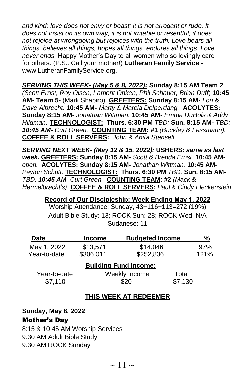*and kind; love does not envy or boast; it is not arrogant or rude. It does not insist on its own way; it is not irritable or resentful; it does not rejoice at wrongdoing but rejoices with the truth. Love bears all things, believes all things, hopes all things, endures all things. Love never ends.* Happy Mother's Day to all women who so lovingly care for others. (P.S.: Call your mother!) **Lutheran Family Service**  www.LutheranFamilyService.org.

# *SERVING THIS WEEK- (May 5 & 8, 2022):* **Sunday 8:15 AM Team 2**

*(Scott Ernst, Roy Olsen, Lamont Onken, Phil Schauer, Brian Duff*) **10:45 AM- Team 5-** (Mark Shapiro). **GREETERS: Sunday 8:15 AM-** *Lori & Dave Albrecht.* **10:45 AM-** *Marty & Marcia Delperdang.* **ACOLYTES: Sunday 8:15 AM-** *Jonathan Wittman.* **10:45 AM-** *Emma DuBois & Addy Hildman.* **TECHNOLOGIST:****Thurs. 6:30 PM** *TBD;* **Sun. 8:15 AM-** *TBD; 10:45 AM- Curt Green.* **COUNTING TEAM: #1** *(Buckley & Lessmann).* **COFFEE & ROLL SERVERS:** *John & Anita Stansell* 

*SERVING NEXT WEEK- (May 12 & 15, 2022):* **USHERS:** *same as last week.* **GREETERS: Sunday 8:15 AM-** *Scott & Brenda Ernst.* **10:45 AM***open.* **ACOLYTES: Sunday 8:15 AM-** *Jonathan Wittman.* **10:45 AM-***Peyton Schutt.* **TECHNOLOGIST:****Thurs. 6:30 PM** *TBD;* **Sun. 8:15 AM-***TBD; 10:45 AM- Curt Green.* **COUNTING TEAM: #2** *(Mack & Hermelbracht's).* **COFFEE & ROLL SERVERS:** *Paul & Cindy Fleckenstein*

#### **Record of Our Discipleship: Week Ending May 1, 2022**

Worship Attendance: Sunday, 43+116+113=272 (19%) Adult Bible Study: 13; ROCK Sun: 28; ROCK Wed: N/A Sudanese: 11

| <b>Date</b>                  | <b>Income</b> | <b>Budgeted Income</b> |         | ℅    |
|------------------------------|---------------|------------------------|---------|------|
| May 1, 2022                  | \$13,571      | \$14,046               |         | 97%  |
| Year-to-date                 | \$306,011     | \$252,836              |         | 121% |
| <b>Building Fund Income:</b> |               |                        |         |      |
| Year-to-date                 |               | Weekly Income          |         |      |
| \$7,110                      |               | \$20                   | \$7,130 |      |

#### **THIS WEEK AT REDEEMER**

#### **Sunday, May 8, 2022**

#### Mother's Day

8:15 & 10:45 AM Worship Services 9:30 AM Adult Bible Study 9:30 AM ROCK Sunday